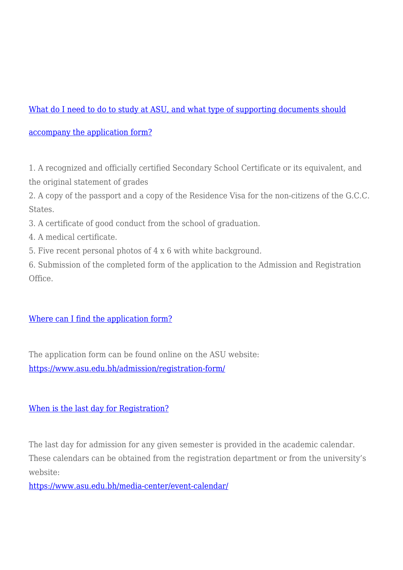# [What do I need to do to study at ASU, and what type of supporting documents should](https://www.asu.edu.bh/smart_faq/need-study-asu-type-supporting-documents-accompany-application-form/)

## [accompany the application form?](https://www.asu.edu.bh/smart_faq/need-study-asu-type-supporting-documents-accompany-application-form/)

1. A recognized and officially certified Secondary School Certificate or its equivalent, and the original statement of grades

2. A copy of the passport and a copy of the Residence Visa for the non-citizens of the G.C.C. States.

3. A certificate of good conduct from the school of graduation.

- 4. A medical certificate.
- 5. Five recent personal photos of 4 x 6 with white background.

6. Submission of the completed form of the application to the Admission and Registration Office.

# [Where can I find the application form?](https://www.asu.edu.bh/smart_faq/can-find-application-form/)

The application form can be found online on the ASU website: <https://www.asu.edu.bh/admission/registration-form/>

# [When is the last day for Registration?](https://www.asu.edu.bh/smart_faq/last-day-registration/)

The last day for admission for any given semester is provided in the academic calendar. These calendars can be obtained from the registration department or from the university's website:

<https://www.asu.edu.bh/media-center/event-calendar/>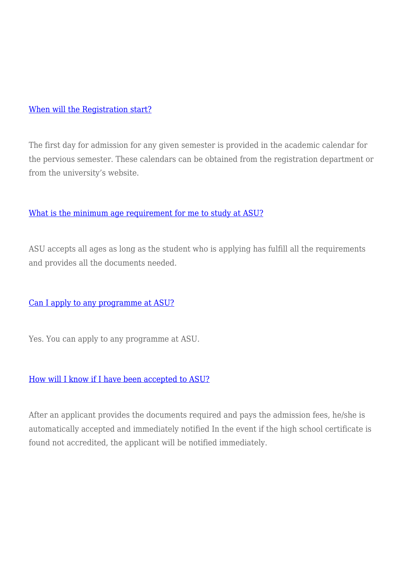#### [When will the Registration start?](https://www.asu.edu.bh/smart_faq/will-registration-start/)

The first day for admission for any given semester is provided in the academic calendar for the pervious semester. These calendars can be obtained from the registration department or from the university's website.

#### [What is the minimum age requirement for me to study at ASU?](https://www.asu.edu.bh/smart_faq/minimum-age-requirement-study-asu/)

ASU accepts all ages as long as the student who is applying has fulfill all the requirements and provides all the documents needed.

## [Can I apply to any programme at ASU?](https://www.asu.edu.bh/smart_faq/can-apply-program-asu/)

Yes. You can apply to any programme at ASU.

#### [How will I know if I have been accepted to ASU?](https://www.asu.edu.bh/smart_faq/will-know-accepted-asu/)

After an applicant provides the documents required and pays the admission fees, he/she is automatically accepted and immediately notified In the event if the high school certificate is found not accredited, the applicant will be notified immediately.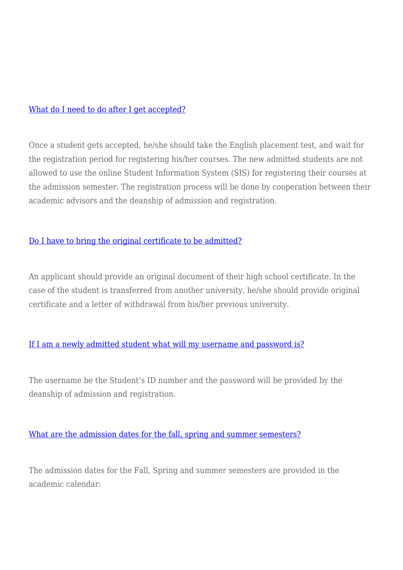#### [What do I need to do after I get accepted?](https://www.asu.edu.bh/smart_faq/need-get-accepted/)

Once a student gets accepted, he/she should take the English placement test, and wait for the registration period for registering his/her courses. The new admitted students are not allowed to use the online Student Information System (SIS) for registering their courses at the admission semester. The registration process will be done by cooperation between their academic advisors and the deanship of admission and registration.

## [Do I have to bring the original certificate to be admitted?](https://www.asu.edu.bh/smart_faq/bring-original-certificate-admitted/)

An applicant should provide an original document of their high school certificate. In the case of the student is transferred from another university, he/she should provide original certificate and a letter of withdrawal from his/her previous university.

## [If I am a newly admitted student what will my username and password is?](https://www.asu.edu.bh/smart_faq/newly-admitted-student-will-username-password/)

The username be the Student's ID number and the password will be provided by the deanship of admission and registration.

## [What are the admission dates for the fall, spring and summer semesters?](https://www.asu.edu.bh/smart_faq/admission-dates-fall-spring-summer-semesters/)

The admission dates for the Fall, Spring and summer semesters are provided in the academic calendar: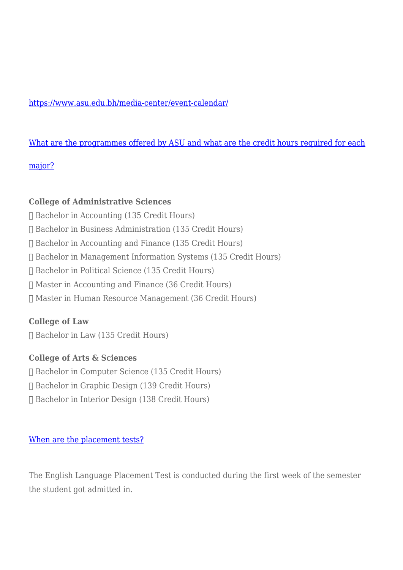# <https://www.asu.edu.bh/media-center/event-calendar/>

## [What are the programmes offered by ASU and what are the credit hours required for each](https://www.asu.edu.bh/smart_faq/programs-offered-asu-credit-hours-required-major/)

## [major?](https://www.asu.edu.bh/smart_faq/programs-offered-asu-credit-hours-required-major/)

## **College of Administrative Sciences**

- Bachelor in Accounting (135 Credit Hours)
- Bachelor in Business Administration (135 Credit Hours)
- Bachelor in Accounting and Finance (135 Credit Hours)
- Bachelor in Management Information Systems (135 Credit Hours)
- Bachelor in Political Science (135 Credit Hours)
- Master in Accounting and Finance (36 Credit Hours)
- Master in Human Resource Management (36 Credit Hours)

# **College of Law**

Bachelor in Law (135 Credit Hours)

# **College of Arts & Sciences**

- Bachelor in Computer Science (135 Credit Hours)
- Bachelor in Graphic Design (139 Credit Hours)
- Bachelor in Interior Design (138 Credit Hours)

## [When are the placement tests?](https://www.asu.edu.bh/smart_faq/placement-tests/)

The English Language Placement Test is conducted during the first week of the semester the student got admitted in.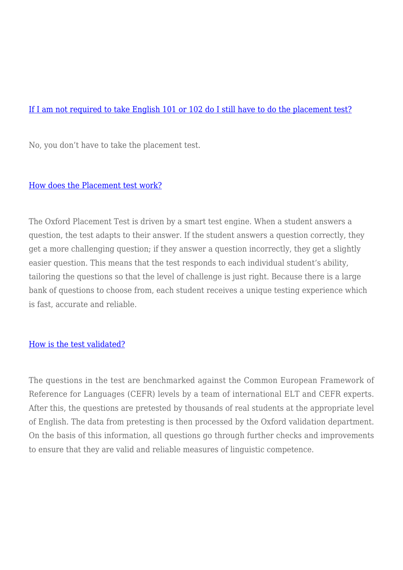## [If I am not required to take English 101 or 102 do I still have to do the placement test?](https://www.asu.edu.bh/smart_faq/required-take-english-101-102-still-placement-test/)

No, you don't have to take the placement test.

#### [How does the Placement test work?](https://www.asu.edu.bh/smart_faq/placement-test-work/)

The Oxford Placement Test is driven by a smart test engine. When a student answers a question, the test adapts to their answer. If the student answers a question correctly, they get a more challenging question; if they answer a question incorrectly, they get a slightly easier question. This means that the test responds to each individual student's ability, tailoring the questions so that the level of challenge is just right. Because there is a large bank of questions to choose from, each student receives a unique testing experience which is fast, accurate and reliable.

#### [How is the test validated?](https://www.asu.edu.bh/smart_faq/test-validated/)

The questions in the test are benchmarked against the Common European Framework of Reference for Languages (CEFR) levels by a team of international ELT and CEFR experts. After this, the questions are pretested by thousands of real students at the appropriate level of English. The data from pretesting is then processed by the Oxford validation department. On the basis of this information, all questions go through further checks and improvements to ensure that they are valid and reliable measures of linguistic competence.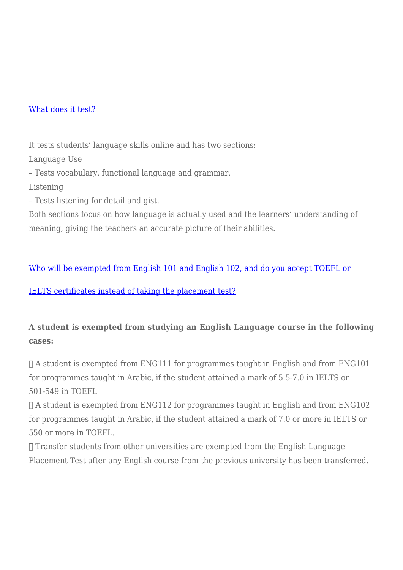## [What does it test?](https://www.asu.edu.bh/smart_faq/test/)

It tests students' language skills online and has two sections:

Language Use

– Tests vocabulary, functional language and grammar.

Listening

– Tests listening for detail and gist.

Both sections focus on how language is actually used and the learners' understanding of meaning, giving the teachers an accurate picture of their abilities.

[Who will be exempted from English 101 and English 102, and do you accept TOEFL or](https://www.asu.edu.bh/smart_faq/will-exempted-english-101-english-102-accept-toefl-ielts-certificates-instead-taking-placement-test/)

[IELTS certificates instead of taking the placement test?](https://www.asu.edu.bh/smart_faq/will-exempted-english-101-english-102-accept-toefl-ielts-certificates-instead-taking-placement-test/)

# **A student is exempted from studying an English Language course in the following cases:**

 $\Box$  A student is exempted from ENG111 for programmes taught in English and from ENG101 for programmes taught in Arabic, if the student attained a mark of 5.5-7.0 in IELTS or 501-549 in TOEFL

 $\Box$  A student is exempted from ENG112 for programmes taught in English and from ENG102 for programmes taught in Arabic, if the student attained a mark of 7.0 or more in IELTS or 550 or more in TOEFL.

 Transfer students from other universities are exempted from the English Language Placement Test after any English course from the previous university has been transferred.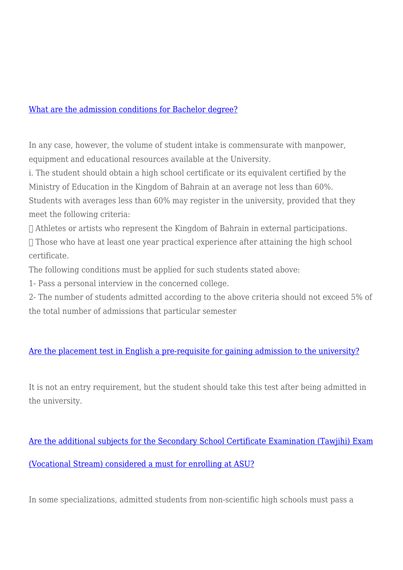#### [What are the admission conditions for Bachelor degree?](https://www.asu.edu.bh/smart_faq/admission-conditions-bachelor-degree/)

In any case, however, the volume of student intake is commensurate with manpower, equipment and educational resources available at the University.

i. The student should obtain a high school certificate or its equivalent certified by the Ministry of Education in the Kingdom of Bahrain at an average not less than 60%. Students with averages less than 60% may register in the university, provided that they

meet the following criteria:

Athletes or artists who represent the Kingdom of Bahrain in external participations.

 $\Box$  Those who have at least one year practical experience after attaining the high school certificate.

The following conditions must be applied for such students stated above:

1- Pass a personal interview in the concerned college.

2- The number of students admitted according to the above criteria should not exceed 5% of the total number of admissions that particular semester

## [Are the placement test in English a pre-requisite for gaining admission to the university?](https://www.asu.edu.bh/smart_faq/placement-test-english-pre-requisite-gaining-admission-university/)

It is not an entry requirement, but the student should take this test after being admitted in the university.

[Are the additional subjects for the Secondary School Certificate Examination \(Tawjihi\) Exam](https://www.asu.edu.bh/smart_faq/additional-subjects-secondary-school-certificate-examination-tawjihi-exam-vocational-stream-considered-must-enrolling-asu/) [\(Vocational Stream\) considered a must for enrolling at ASU?](https://www.asu.edu.bh/smart_faq/additional-subjects-secondary-school-certificate-examination-tawjihi-exam-vocational-stream-considered-must-enrolling-asu/)

In some specializations, admitted students from non-scientific high schools must pass a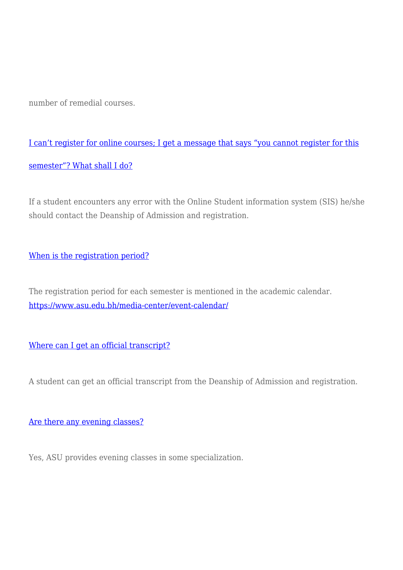number of remedial courses.

[I can't register for online courses; I get a message that says "you cannot register for this](https://www.asu.edu.bh/smart_faq/cant-register-online-courses-get-message-says-register-semester-shall/) [semester"? What shall I do?](https://www.asu.edu.bh/smart_faq/cant-register-online-courses-get-message-says-register-semester-shall/)

If a student encounters any error with the Online Student information system (SIS) he/she should contact the Deanship of Admission and registration.

[When is the registration period?](https://www.asu.edu.bh/smart_faq/registration-period/)

The registration period for each semester is mentioned in the academic calendar. <https://www.asu.edu.bh/media-center/event-calendar/>

[Where can I get an official transcript?](https://www.asu.edu.bh/smart_faq/can-get-official-transcript/)

A student can get an official transcript from the Deanship of Admission and registration.

## [Are there any evening classes?](https://www.asu.edu.bh/smart_faq/evening-classes/)

Yes, ASU provides evening classes in some specialization.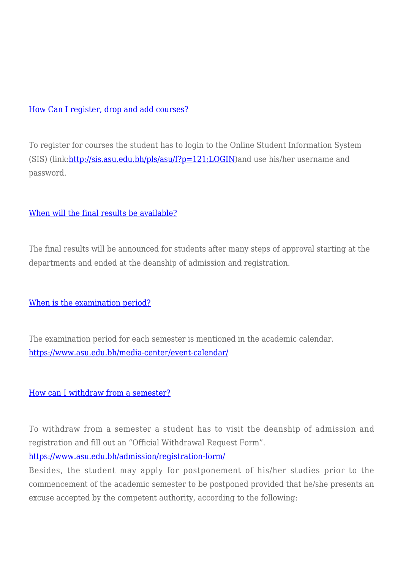## [How Can I register, drop and add courses?](https://www.asu.edu.bh/smart_faq/can-register-drop-add-courses/)

To register for courses the student has to login to the Online Student Information System (SIS) (link:<http://sis.asu.edu.bh/pls/asu/f?p=121:LOGIN>)and use his/her username and password.

# [When will the final results be available?](https://www.asu.edu.bh/smart_faq/will-final-results-available/)

The final results will be announced for students after many steps of approval starting at the departments and ended at the deanship of admission and registration.

[When is the examination period?](https://www.asu.edu.bh/smart_faq/examination-period/)

The examination period for each semester is mentioned in the academic calendar. <https://www.asu.edu.bh/media-center/event-calendar/>

## [How can I withdraw from a semester?](https://www.asu.edu.bh/smart_faq/can-withdraw-semester/)

To withdraw from a semester a student has to visit the deanship of admission and registration and fill out an "Official Withdrawal Request Form".

<https://www.asu.edu.bh/admission/registration-form/>

Besides, the student may apply for postponement of his/her studies prior to the commencement of the academic semester to be postponed provided that he/she presents an excuse accepted by the competent authority, according to the following: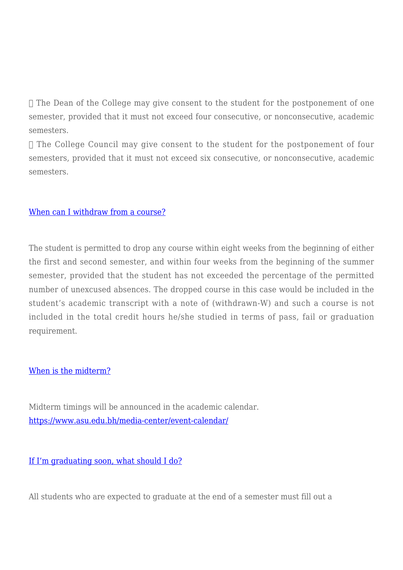$\Box$  The Dean of the College may give consent to the student for the postponement of one semester, provided that it must not exceed four consecutive, or nonconsecutive, academic semesters.

 $\Box$  The College Council may give consent to the student for the postponement of four semesters, provided that it must not exceed six consecutive, or nonconsecutive, academic semesters.

## [When can I withdraw from a course?](https://www.asu.edu.bh/smart_faq/can-withdraw-course/)

The student is permitted to drop any course within eight weeks from the beginning of either the first and second semester, and within four weeks from the beginning of the summer semester, provided that the student has not exceeded the percentage of the permitted number of unexcused absences. The dropped course in this case would be included in the student's academic transcript with a note of (withdrawn-W) and such a course is not included in the total credit hours he/she studied in terms of pass, fail or graduation requirement.

#### [When is the midterm?](https://www.asu.edu.bh/smart_faq/midterm/)

Midterm timings will be announced in the academic calendar. <https://www.asu.edu.bh/media-center/event-calendar/>

[If I'm graduating soon, what should I do?](https://www.asu.edu.bh/smart_faq/im-graduating-soon/)

All students who are expected to graduate at the end of a semester must fill out a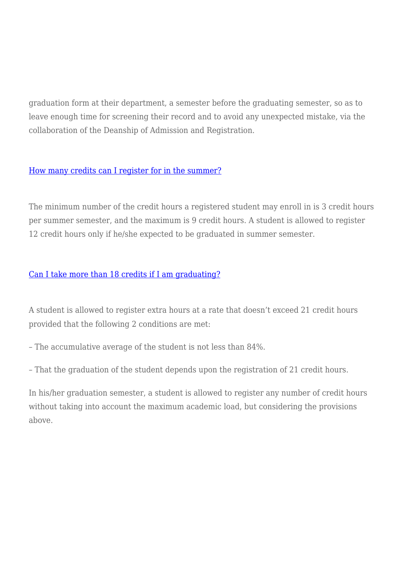graduation form at their department, a semester before the graduating semester, so as to leave enough time for screening their record and to avoid any unexpected mistake, via the collaboration of the Deanship of Admission and Registration.

## [How many credits can I register for in the summer?](https://www.asu.edu.bh/smart_faq/many-credits-can-register-summer/)

The minimum number of the credit hours a registered student may enroll in is 3 credit hours per summer semester, and the maximum is 9 credit hours. A student is allowed to register 12 credit hours only if he/she expected to be graduated in summer semester.

# [Can I take more than 18 credits if I am graduating?](https://www.asu.edu.bh/smart_faq/can-take-18-credits-graduating/)

A student is allowed to register extra hours at a rate that doesn't exceed 21 credit hours provided that the following 2 conditions are met:

– The accumulative average of the student is not less than 84%.

– That the graduation of the student depends upon the registration of 21 credit hours.

In his/her graduation semester, a student is allowed to register any number of credit hours without taking into account the maximum academic load, but considering the provisions above.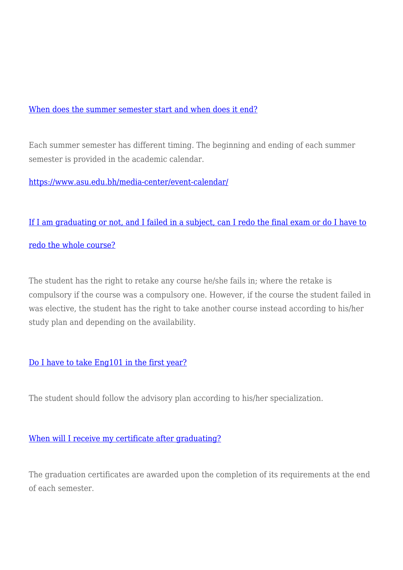## [When does the summer semester start and when does it end?](https://www.asu.edu.bh/smart_faq/summer-semester-start-end/)

Each summer semester has different timing. The beginning and ending of each summer semester is provided in the academic calendar.

<https://www.asu.edu.bh/media-center/event-calendar/>

# [If I am graduating or not, and I failed in a subject, can I redo the final exam or do I have to](https://www.asu.edu.bh/smart_faq/graduating-failed-subject-can-redo-final-exam-redo-whole-course/)

## [redo the whole course?](https://www.asu.edu.bh/smart_faq/graduating-failed-subject-can-redo-final-exam-redo-whole-course/)

The student has the right to retake any course he/she fails in; where the retake is compulsory if the course was a compulsory one. However, if the course the student failed in was elective, the student has the right to take another course instead according to his/her study plan and depending on the availability.

# [Do I have to take Eng101 in the first year?](https://www.asu.edu.bh/smart_faq/take-eng101-first-year/)

The student should follow the advisory plan according to his/her specialization.

## [When will I receive my certificate after graduating?](https://www.asu.edu.bh/smart_faq/will-receive-certificate-graduating/)

The graduation certificates are awarded upon the completion of its requirements at the end of each semester.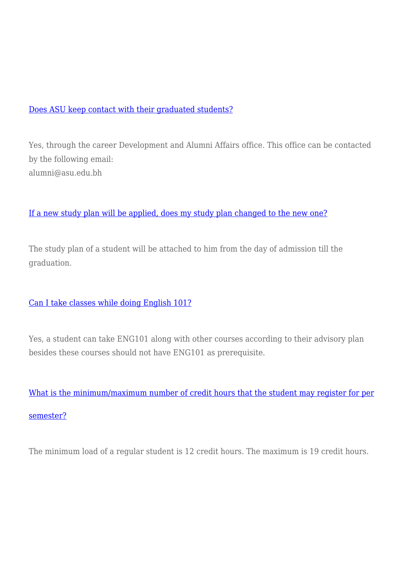## [Does ASU keep contact with their graduated students?](https://www.asu.edu.bh/smart_faq/asu-keep-contact-graduated-students/)

Yes, through the career Development and Alumni Affairs office. This office can be contacted by the following email: alumni@asu.edu.bh

# [If a new study plan will be applied, does my study plan changed to the new one?](https://www.asu.edu.bh/smart_faq/new-study-plan-will-applied-study-plan-changed-new-one/)

The study plan of a student will be attached to him from the day of admission till the graduation.

## [Can I take classes while doing English 101?](https://www.asu.edu.bh/smart_faq/can-take-classes-english-101/)

Yes, a student can take ENG101 along with other courses according to their advisory plan besides these courses should not have ENG101 as prerequisite.

[What is the minimum/maximum number of credit hours that the student may register for per](https://www.asu.edu.bh/smart_faq/minimummaximum-number-credit-hours-student-may-register-per-semester/) [semester?](https://www.asu.edu.bh/smart_faq/minimummaximum-number-credit-hours-student-may-register-per-semester/)

The minimum load of a regular student is 12 credit hours. The maximum is 19 credit hours.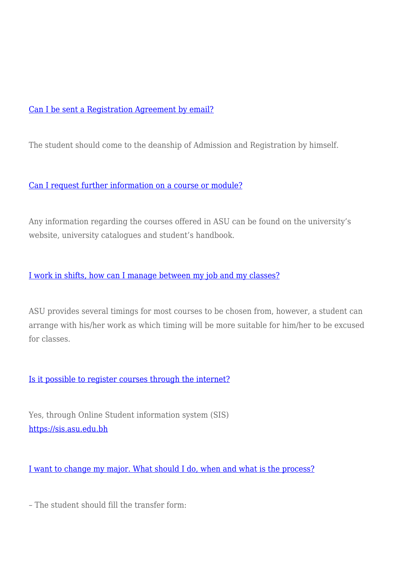# [Can I be sent a Registration Agreement by email?](https://www.asu.edu.bh/smart_faq/can-sent-registration-agreement-email/)

The student should come to the deanship of Admission and Registration by himself.

## [Can I request further information on a course or module?](https://www.asu.edu.bh/smart_faq/can-request-information-course-module/)

Any information regarding the courses offered in ASU can be found on the university's website, university catalogues and student's handbook.

# [I work in shifts, how can I manage between my job and my classes?](https://www.asu.edu.bh/smart_faq/work-shifts-can-manage-job-classes/)

ASU provides several timings for most courses to be chosen from, however, a student can arrange with his/her work as which timing will be more suitable for him/her to be excused for classes.

## [Is it possible to register courses through the internet?](https://www.asu.edu.bh/smart_faq/possible-register-courses-internet/)

Yes, through Online Student information system (SIS) <https://sis.asu.edu.bh>

[I want to change my major. What should I do, when and what is the process?](https://www.asu.edu.bh/smart_faq/want-change-major-process/)

– The student should fill the transfer form: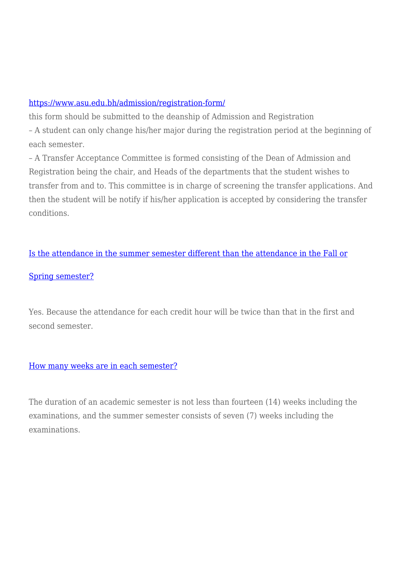# <https://www.asu.edu.bh/admission/registration-form/>

this form should be submitted to the deanship of Admission and Registration – A student can only change his/her major during the registration period at the beginning of each semester.

– A Transfer Acceptance Committee is formed consisting of the Dean of Admission and Registration being the chair, and Heads of the departments that the student wishes to transfer from and to. This committee is in charge of screening the transfer applications. And then the student will be notify if his/her application is accepted by considering the transfer conditions.

[Is the attendance in the summer semester different than the attendance in the Fall or](https://www.asu.edu.bh/smart_faq/attendance-summer-semester-different-attendance-fall-spring-semester/)

# [Spring semester?](https://www.asu.edu.bh/smart_faq/attendance-summer-semester-different-attendance-fall-spring-semester/)

Yes. Because the attendance for each credit hour will be twice than that in the first and second semester.

# [How many weeks are in each semester?](https://www.asu.edu.bh/smart_faq/many-weeks-semester/)

The duration of an academic semester is not less than fourteen (14) weeks including the examinations, and the summer semester consists of seven (7) weeks including the examinations.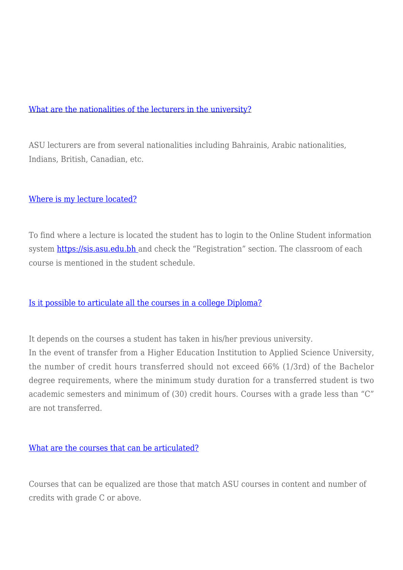#### [What are the nationalities of the lecturers in the university?](https://www.asu.edu.bh/smart_faq/nationalities-lecturers-university/)

ASU lecturers are from several nationalities including Bahrainis, Arabic nationalities, Indians, British, Canadian, etc.

#### [Where is my lecture located?](https://www.asu.edu.bh/smart_faq/lecture-located/)

To find where a lecture is located the student has to login to the Online Student information system<https://sis.asu.edu.bh>and check the "Registration" section. The classroom of each course is mentioned in the student schedule.

## [Is it possible to articulate all the courses in a college Diploma?](https://www.asu.edu.bh/smart_faq/possible-articulate-courses-college-diploma/)

It depends on the courses a student has taken in his/her previous university.

In the event of transfer from a Higher Education Institution to Applied Science University, the number of credit hours transferred should not exceed 66% (1/3rd) of the Bachelor degree requirements, where the minimum study duration for a transferred student is two academic semesters and minimum of (30) credit hours. Courses with a grade less than "C" are not transferred.

#### [What are the courses that can be articulated?](https://www.asu.edu.bh/smart_faq/courses-can-articulated/)

Courses that can be equalized are those that match ASU courses in content and number of credits with grade C or above.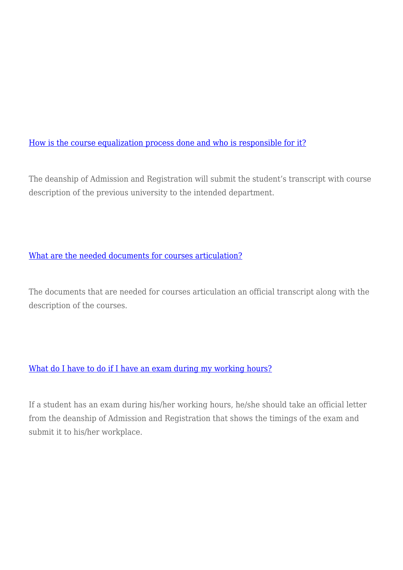[How is the course equalization process done and who is responsible for it?](https://www.asu.edu.bh/smart_faq/course-equalization-process-done-responsible/)

The deanship of Admission and Registration will submit the student's transcript with course description of the previous university to the intended department.

# [What are the needed documents for courses articulation?](https://www.asu.edu.bh/smart_faq/needed-documents-courses-articulation/)

The documents that are needed for courses articulation an official transcript along with the description of the courses.

## [What do I have to do if I have an exam during my working hours?](https://www.asu.edu.bh/smart_faq/exam-working-hours/)

If a student has an exam during his/her working hours, he/she should take an official letter from the deanship of Admission and Registration that shows the timings of the exam and submit it to his/her workplace.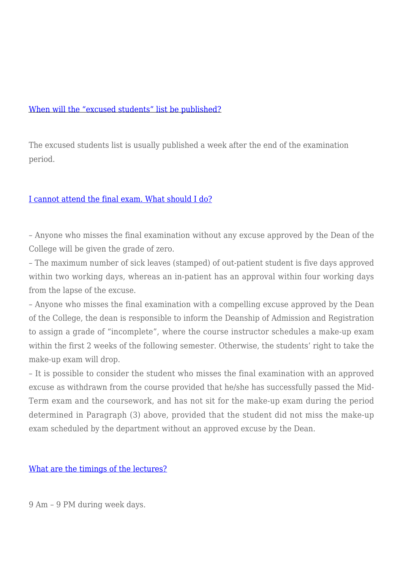#### [When will the "excused students" list be published?](https://www.asu.edu.bh/smart_faq/will-excused-students-list-published/)

The excused students list is usually published a week after the end of the examination period.

#### [I cannot attend the final exam. What should I do?](https://www.asu.edu.bh/smart_faq/attend-final-exam/)

– Anyone who misses the final examination without any excuse approved by the Dean of the College will be given the grade of zero.

– The maximum number of sick leaves (stamped) of out-patient student is five days approved within two working days, whereas an in-patient has an approval within four working days from the lapse of the excuse.

– Anyone who misses the final examination with a compelling excuse approved by the Dean of the College, the dean is responsible to inform the Deanship of Admission and Registration to assign a grade of "incomplete", where the course instructor schedules a make-up exam within the first 2 weeks of the following semester. Otherwise, the students' right to take the make-up exam will drop.

– It is possible to consider the student who misses the final examination with an approved excuse as withdrawn from the course provided that he/she has successfully passed the Mid-Term exam and the coursework, and has not sit for the make-up exam during the period determined in Paragraph (3) above, provided that the student did not miss the make-up exam scheduled by the department without an approved excuse by the Dean.

#### [What are the timings of the lectures?](https://www.asu.edu.bh/smart_faq/timings-lectures/)

9 Am – 9 PM during week days.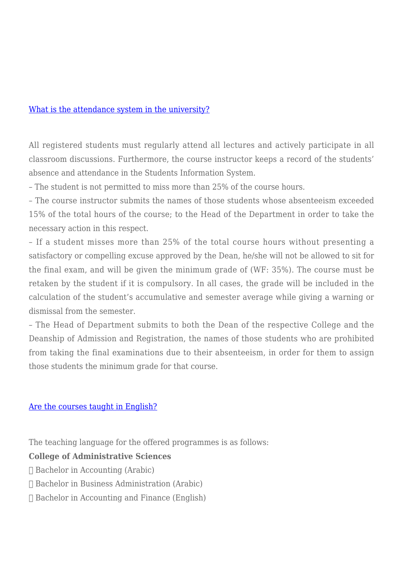#### [What is the attendance system in the university?](https://www.asu.edu.bh/smart_faq/attendance-system-university/)

All registered students must regularly attend all lectures and actively participate in all classroom discussions. Furthermore, the course instructor keeps a record of the students' absence and attendance in the Students Information System.

– The student is not permitted to miss more than 25% of the course hours.

– The course instructor submits the names of those students whose absenteeism exceeded 15% of the total hours of the course; to the Head of the Department in order to take the necessary action in this respect.

– If a student misses more than 25% of the total course hours without presenting a satisfactory or compelling excuse approved by the Dean, he/she will not be allowed to sit for the final exam, and will be given the minimum grade of (WF: 35%). The course must be retaken by the student if it is compulsory. In all cases, the grade will be included in the calculation of the student's accumulative and semester average while giving a warning or dismissal from the semester.

– The Head of Department submits to both the Dean of the respective College and the Deanship of Admission and Registration, the names of those students who are prohibited from taking the final examinations due to their absenteeism, in order for them to assign those students the minimum grade for that course.

## [Are the courses taught in English?](https://www.asu.edu.bh/smart_faq/courses-taught-english/)

The teaching language for the offered programmes is as follows:

## **College of Administrative Sciences**

- Bachelor in Accounting (Arabic)
- Bachelor in Business Administration (Arabic)
- $\Box$  Bachelor in Accounting and Finance (English)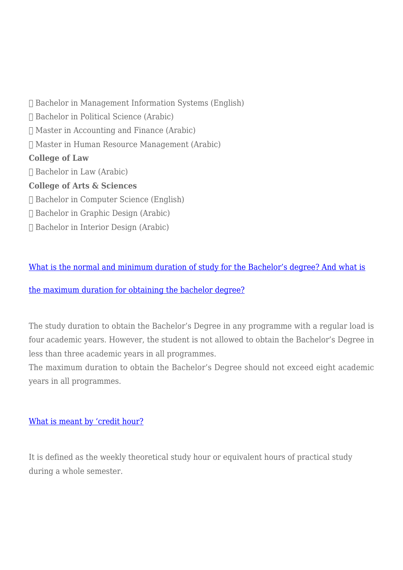Bachelor in Management Information Systems (English) Bachelor in Political Science (Arabic)  $\Box$  Master in Accounting and Finance (Arabic) Master in Human Resource Management (Arabic) **College of Law** Bachelor in Law (Arabic) **College of Arts & Sciences** Bachelor in Computer Science (English) Bachelor in Graphic Design (Arabic) Bachelor in Interior Design (Arabic)

[What is the normal and minimum duration of study for the Bachelor's degree? And what is](https://www.asu.edu.bh/smart_faq/normal-minimum-duration-study-bachelors-degree-maximum-duration-obtaining-bachelor-degree/)

## [the maximum duration for obtaining the bachelor degree?](https://www.asu.edu.bh/smart_faq/normal-minimum-duration-study-bachelors-degree-maximum-duration-obtaining-bachelor-degree/)

The study duration to obtain the Bachelor's Degree in any programme with a regular load is four academic years. However, the student is not allowed to obtain the Bachelor's Degree in less than three academic years in all programmes.

The maximum duration to obtain the Bachelor's Degree should not exceed eight academic years in all programmes.

#### [What is meant by 'credit hour?](https://www.asu.edu.bh/smart_faq/meant-credit-hour/)

It is defined as the weekly theoretical study hour or equivalent hours of practical study during a whole semester.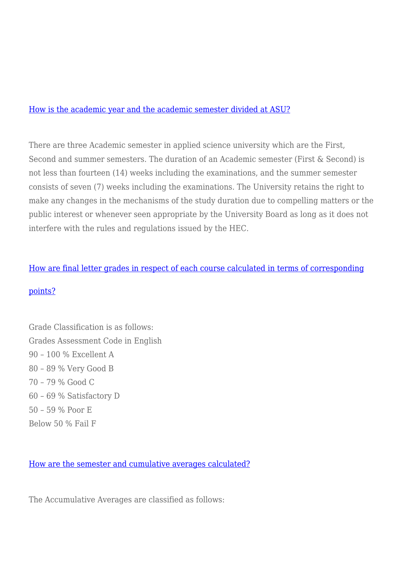#### [How is the academic year and the academic semester divided at ASU?](https://www.asu.edu.bh/smart_faq/academic-year-academic-semester-divided-asu/)

There are three Academic semester in applied science university which are the First, Second and summer semesters. The duration of an Academic semester (First & Second) is not less than fourteen (14) weeks including the examinations, and the summer semester consists of seven (7) weeks including the examinations. The University retains the right to make any changes in the mechanisms of the study duration due to compelling matters or the public interest or whenever seen appropriate by the University Board as long as it does not interfere with the rules and regulations issued by the HEC.

#### [How are final letter grades in respect of each course calculated in terms of corresponding](https://www.asu.edu.bh/smart_faq/final-letter-grades-respect-course-calculated-terms-corresponding-points/)

#### [points?](https://www.asu.edu.bh/smart_faq/final-letter-grades-respect-course-calculated-terms-corresponding-points/)

Grade Classification is as follows: Grades Assessment Code in English 90 – 100 % Excellent A 80 – 89 % Very Good B 70 – 79 % Good C 60 – 69 % Satisfactory D 50 – 59 % Poor E Below 50 % Fail F

[How are the semester and cumulative averages calculated?](https://www.asu.edu.bh/smart_faq/semester-cumulative-averages-calculated/)

The Accumulative Averages are classified as follows: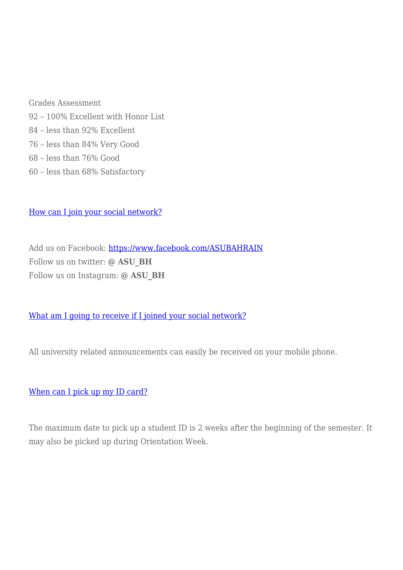Grades Assessment 92 – 100% Excellent with Honor List 84 – less than 92% Excellent 76 – less than 84% Very Good 68 – less than 76% Good 60 – less than 68% Satisfactory

[How can I join your social network?](https://www.asu.edu.bh/smart_faq/can-join-social-network/)

Add us on Facebook:<https://www.facebook.com/ASUBAHRAIN> Follow us on twitter: **@ ASU\_BH** Follow us on Instagram: **@ ASU\_BH**

## [What am I going to receive if I joined your social network?](https://www.asu.edu.bh/smart_faq/going-receive-joined-social-network/)

All university related announcements can easily be received on your mobile phone.

#### [When can I pick up my ID card?](https://www.asu.edu.bh/smart_faq/can-pick-id-card/)

The maximum date to pick up a student ID is 2 weeks after the beginning of the semester. It may also be picked up during Orientation Week.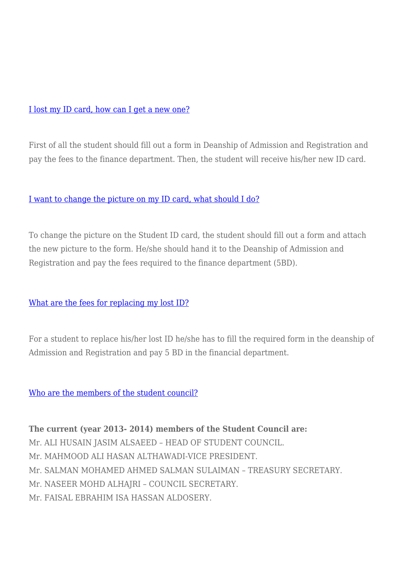#### [I lost my ID card, how can I get a new one?](https://www.asu.edu.bh/smart_faq/lost-id-card-can-get-new-one/)

First of all the student should fill out a form in Deanship of Admission and Registration and pay the fees to the finance department. Then, the student will receive his/her new ID card.

#### [I want to change the picture on my ID card, what should I do?](https://www.asu.edu.bh/smart_faq/want-change-picture-id-card/)

To change the picture on the Student ID card, the student should fill out a form and attach the new picture to the form. He/she should hand it to the Deanship of Admission and Registration and pay the fees required to the finance department (5BD).

## [What are the fees for replacing my lost ID?](https://www.asu.edu.bh/smart_faq/fees-replacing-lost-id/)

For a student to replace his/her lost ID he/she has to fill the required form in the deanship of Admission and Registration and pay 5 BD in the financial department.

[Who are the members of the student council?](https://www.asu.edu.bh/smart_faq/members-student-council/)

**The current (year 2013- 2014) members of the Student Council are:** Mr. ALI HUSAIN JASIM ALSAEED – HEAD OF STUDENT COUNCIL. Mr. MAHMOOD ALI HASAN ALTHAWADI-VICE PRESIDENT. Mr. SALMAN MOHAMED AHMED SALMAN SULAIMAN – TREASURY SECRETARY. Mr. NASEER MOHD ALHAJRI – COUNCIL SECRETARY. Mr. FAISAL EBRAHIM ISA HASSAN ALDOSERY.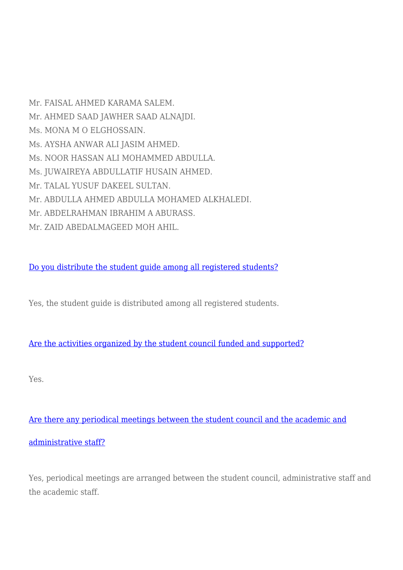Mr. FAISAL AHMED KARAMA SALEM. Mr. AHMED SAAD JAWHER SAAD ALNAJDI. Ms. MONA M O ELGHOSSAIN. Ms. AYSHA ANWAR ALI JASIM AHMED. Ms. NOOR HASSAN ALI MOHAMMED ABDULLA. Ms. JUWAIREYA ABDULLATIF HUSAIN AHMED. Mr. TALAL YUSUF DAKEEL SULTAN. Mr. ABDULLA AHMED ABDULLA MOHAMED ALKHALEDI. Mr. ABDELRAHMAN IBRAHIM A ABURASS. Mr. ZAID ABEDALMAGEED MOH AHIL.

[Do you distribute the student guide among all registered students?](https://www.asu.edu.bh/smart_faq/distribute-student-guide-among-registered-students/)

Yes, the student guide is distributed among all registered students.

[Are the activities organized by the student council funded and supported?](https://www.asu.edu.bh/smart_faq/activities-organized-student-council-funded-supported/)

Yes.

[Are there any periodical meetings between the student council and the academic and](https://www.asu.edu.bh/smart_faq/periodical-meetings-student-council-academic-administrative-staff/)

[administrative staff?](https://www.asu.edu.bh/smart_faq/periodical-meetings-student-council-academic-administrative-staff/)

Yes, periodical meetings are arranged between the student council, administrative staff and the academic staff.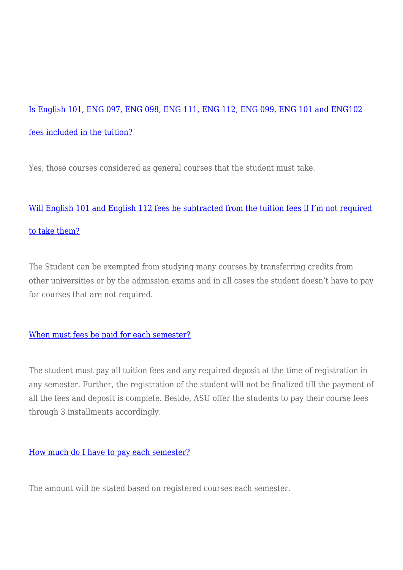# [Is English 101, ENG 097, ENG 098, ENG 111, ENG 112, ENG 099, ENG 101 and ENG102](https://www.asu.edu.bh/smart_faq/english-101-eng-097-eng-098-eng-111-eng-112-eng-099-eng-101-eng102-fees-included-tuition/) [fees included in the tuition?](https://www.asu.edu.bh/smart_faq/english-101-eng-097-eng-098-eng-111-eng-112-eng-099-eng-101-eng102-fees-included-tuition/)

Yes, those courses considered as general courses that the student must take.

# [Will English 101 and English 112 fees be subtracted from the tuition fees if I'm not required](https://www.asu.edu.bh/smart_faq/will-english-101-english-112-fees-subtracted-tuition-fees-im-required-take/) [to take them?](https://www.asu.edu.bh/smart_faq/will-english-101-english-112-fees-subtracted-tuition-fees-im-required-take/)

The Student can be exempted from studying many courses by transferring credits from other universities or by the admission exams and in all cases the student doesn't have to pay for courses that are not required.

## [When must fees be paid for each semester?](https://www.asu.edu.bh/smart_faq/must-fees-paid-semester/)

The student must pay all tuition fees and any required deposit at the time of registration in any semester. Further, the registration of the student will not be finalized till the payment of all the fees and deposit is complete. Beside, ASU offer the students to pay their course fees through 3 installments accordingly.

## [How much do I have to pay each semester?](https://www.asu.edu.bh/smart_faq/much-pay-semester/)

The amount will be stated based on registered courses each semester.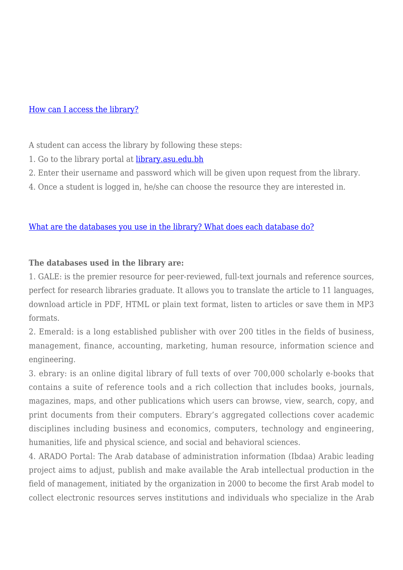#### [How can I access the library?](https://www.asu.edu.bh/smart_faq/can-access-library/)

A student can access the library by following these steps:

- 1. Go to the library portal at [library.asu.edu.bh](https://www.asu.edu.bh/library.asu.edu.bh)
- 2. Enter their username and password which will be given upon request from the library.
- 4. Once a student is logged in, he/she can choose the resource they are interested in.

# [What are the databases you use in the library? What does each database do?](https://www.asu.edu.bh/smart_faq/databases-use-library-database/)

# **The databases used in the library are:**

1. GALE: is the premier resource for peer-reviewed, full-text journals and reference sources, perfect for research libraries graduate. It allows you to translate the article to 11 languages, download article in PDF, HTML or plain text format, listen to articles or save them in MP3 formats.

2. Emerald: is a long established publisher with over 200 titles in the fields of business, management, finance, accounting, marketing, human resource, information science and engineering.

3. ebrary: is an online digital library of full texts of over 700,000 scholarly e-books that contains a suite of reference tools and a rich collection that includes books, journals, magazines, maps, and other publications which users can browse, view, search, copy, and print documents from their computers. Ebrary's aggregated collections cover academic disciplines including business and economics, computers, technology and engineering, humanities, life and physical science, and social and behavioral sciences.

4. ARADO Portal: The Arab database of administration information (Ibdaa) Arabic leading project aims to adjust, publish and make available the Arab intellectual production in the field of management, initiated by the organization in 2000 to become the first Arab model to collect electronic resources serves institutions and individuals who specialize in the Arab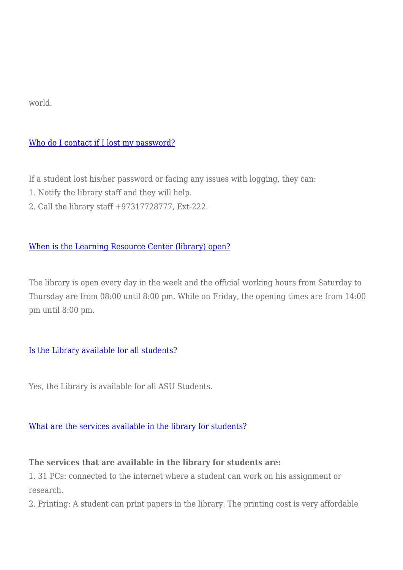world.

# [Who do I contact if I lost my password?](https://www.asu.edu.bh/smart_faq/contact-lost-password/)

If a student lost his/her password or facing any issues with logging, they can:

- 1. Notify the library staff and they will help.
- 2. Call the library staff +97317728777, Ext-222.

# [When is the Learning Resource Center \(library\) open?](https://www.asu.edu.bh/smart_faq/learning-resource-center-library-open/)

The library is open every day in the week and the official working hours from Saturday to Thursday are from 08:00 until 8:00 pm. While on Friday, the opening times are from 14:00 pm until 8:00 pm.

## [Is the Library available for all students?](https://www.asu.edu.bh/smart_faq/library-available-students/)

Yes, the Library is available for all ASU Students.

## [What are the services available in the library for students?](https://www.asu.edu.bh/smart_faq/services-available-library-students/)

## **The services that are available in the library for students are:**

1. 31 PCs: connected to the internet where a student can work on his assignment or research.

2. Printing: A student can print papers in the library. The printing cost is very affordable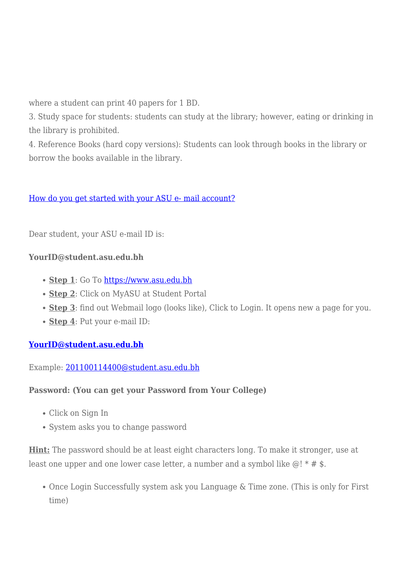where a student can print 40 papers for 1 BD.

3. Study space for students: students can study at the library; however, eating or drinking in the library is prohibited.

4. Reference Books (hard copy versions): Students can look through books in the library or borrow the books available in the library.

# [How do you get started with your ASU e- mail account?](https://www.asu.edu.bh/smart_faq/how-do-you-get-started-with-your-asu-e-mail-account/)

Dear student, your ASU e-mail ID is:

## **YourID@student.asu.edu.bh**

- **Step 1**: Go To [https://www.asu.edu.bh](https://www.asu.edu.bh/)
- **Step 2**: Click on MyASU at Student Portal
- **Step 3**: find out Webmail logo (looks like), Click to Login. It opens new a page for you.
- **Step 4**: Put your e-mail ID:

# **[YourID@student.asu.edu.bh](mailto:YourID@student.asu.edu.bh)**

Example: [201100114400@student.asu.edu.bh](mailto:201100114400@student.asu.edu.bh)

## **Password: (You can get your Password from Your College)**

- Click on Sign In
- System asks you to change password

**Hint:** The password should be at least eight characters long. To make it stronger, use at least one upper and one lower case letter, a number and a symbol like  $\omega$ ! \* # \$.

Once Login Successfully system ask you Language & Time zone. (This is only for First time)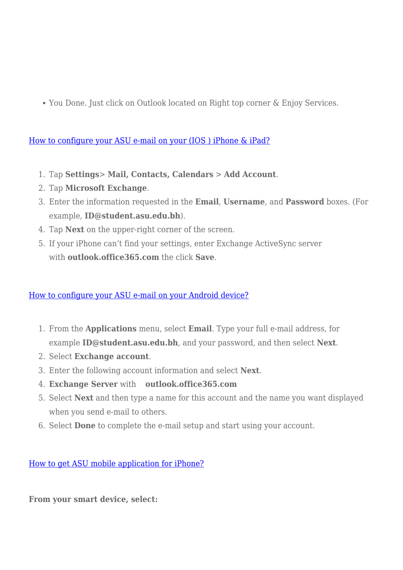You Done. Just click on Outlook located on Right top corner & Enjoy Services.

[How to configure your ASU e-mail on your \(IOS \) iPhone & iPad?](https://www.asu.edu.bh/smart_faq/how-to-configure-your-asu-e-mail-on-your-ios-iphone-ipad-2/)

- 1. Tap **Settings**> **Mail, Contacts, Calendars** > **Add Account**.
- 2. Tap **Microsoft Exchange**.
- 3. Enter the information requested in the **Email**, **Username**, and **Password** boxes. (For example, **ID@student.asu.edu.bh**).
- 4. Tap **Next** on the upper-right corner of the screen.
- 5. If your iPhone can't find your settings, enter Exchange ActiveSync server with **outlook.office365.com** the click **Save**.

## [How to configure your ASU e-mail on your Android device?](https://www.asu.edu.bh/smart_faq/how-to-configure-your-asu-e-mail-on-your-android-device-2/)

- 1. From the **Applications** menu, select **Email**. Type your full e-mail address, for example **ID@student.asu.edu.bh**, and your password, and then select **Next**.
- 2. Select **Exchange account**.
- 3. Enter the following account information and select **Next**.
- 4. **Exchange Server** with **outlook.office365.com**
- 5. Select **Next** and then type a name for this account and the name you want displayed when you send e-mail to others.
- 6. Select **Done** to complete the e-mail setup and start using your account.

[How to get ASU mobile application for iPhone?](https://www.asu.edu.bh/smart_faq/how-to-get-asu-mobile-application-for-iphone/)

**From your smart device, select:**